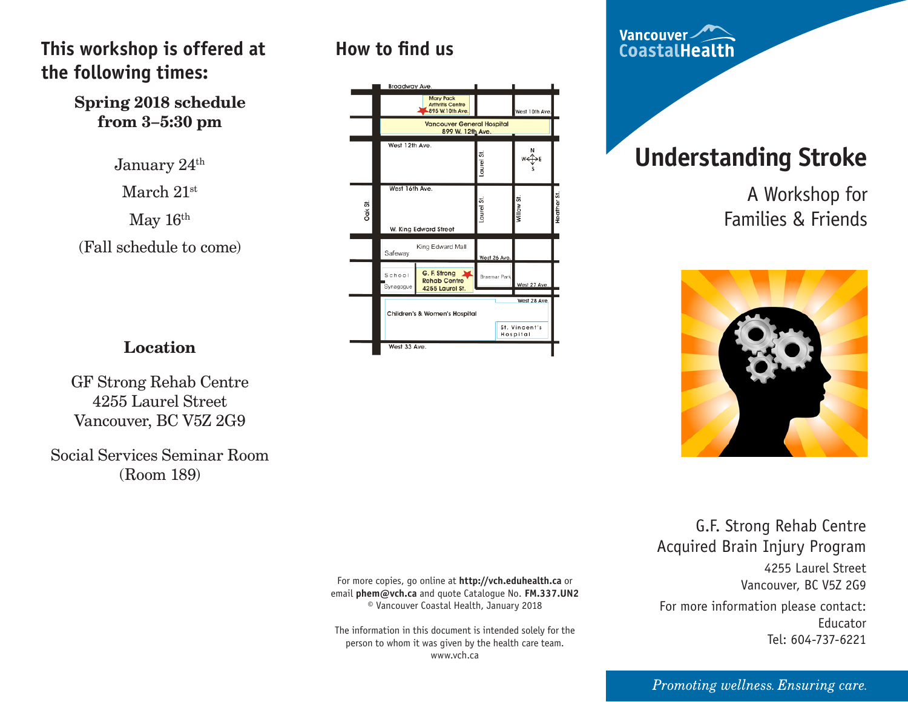### **This workshop is offered at the following times:**

#### **Spring 2018 schedule from 3–5:30 pm**

January 24<sup>th</sup>

March 21st

May 16th

(Fall schedule to come)

### **How to find us**



Vancouver CoastalHealth

# **Understanding Stroke**

A Workshop for Families & Friends



### **Location**

GF Strong Rehab Centre 4255 Laurel Street Vancouver, BC V5Z 2G9

Social Services Seminar Room (Room 189)

> For more copies, go online at **http://vch.eduhealth.ca** or email **phem@vch.ca** and quote Catalogue No. **FM.337.UN2** © Vancouver Coastal Health, January 2018

The information in this document is intended solely for the person to whom it was given by the health care team. www.vch.ca

G.F. Strong Rehab Centre Acquired Brain Injury Program 4255 Laurel Street

Vancouver, BC V5Z 2G9

For more information please contact: Educator Tel: 604-737-6221

#### Promoting wellness. Ensuring care.